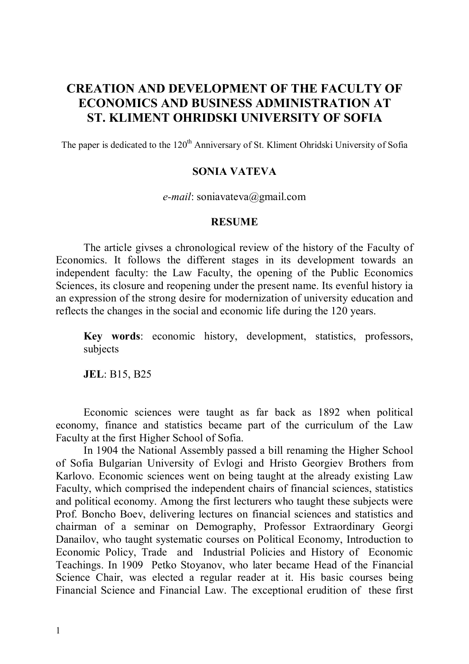## **CREATION AND DEVELOPMENT OF THE FACULTY OF ECONOMICS AND BUSINESS ADMINISTRATION AT ST. KLIMENT OHRIDSKI UNIVERSITY OF SOFIA**

The paper is dedicated to the 120<sup>th</sup> Anniversary of St. Kliment Ohridski University of Sofia

## **SONIA VATEVA**

*e-mail*: soniavateva@gmail.com

## **RESUME**

The article givses a chronological review of the history of the Faculty of Economics. It follows the different stages in its development towards an independent faculty: the Law Faculty, the opening of the Public Economics Sciences, its closure and reopening under the present name. Its evenful history ia an expression of the strong desire for modernization of university education and reflects the changes in the social and economic life during the 120 years.

**Key words**: economic history, development, statistics, professors, subjects

**JEL**: B15, B25

Economic sciences were taught as far back as 1892 when political economy, finance and statistics became part of the curriculum of the Law Faculty at the first Higher School of Sofia.

In 1904 the National Assembly passed a bill renaming the Higher School of Sofia Bulgarian University of Evlogi and Hristo Georgiev Brothers from Karlovo. Economic sciences went on being taught at the already existing Law Faculty, which comprised the independent chairs of financial sciences, statistics and political economy. Among the first lecturers who taught these subjects were Prof. Boncho Boev, delivering lectures on financial sciences and statistics and chairman of a seminar on Demography, Professor Extraordinary Georgi Danailov, who taught systematic courses on Political Economy, Introduction to Economic Policy, Trade and Industrial Policies and History of Economic Teachings. In 1909 Petko Stoyanov, who later became Head of the Financial Science Chair, was elected a regular reader at it. His basic courses being Financial Science and Financial Law. The exceptional erudition of these first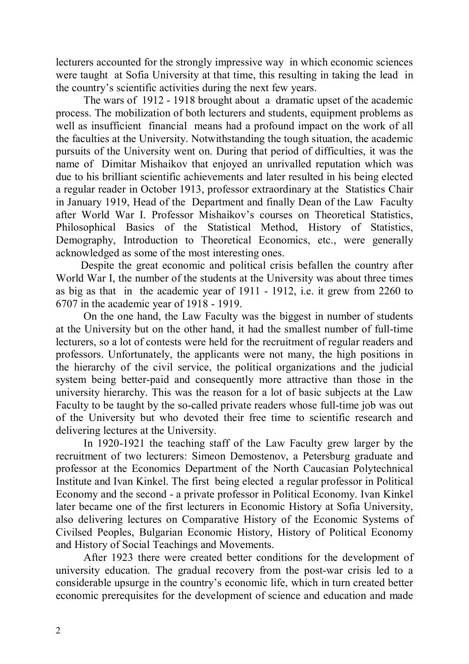lecturers accounted for the strongly impressive way in which economic sciences were taught at Sofia University at that time, this resulting in taking the lead in the country's scientific activities during the next few years.

The wars of 1912 - 1918 brought about a dramatic upset of the academic process. The mobilization of both lecturers and students, equipment problems as well as insufficient financial means had a profound impact on the work of all the faculties at the University. Notwithstanding the tough situation, the academic pursuits of the University went on. During that period of difficulties, it was the name of Dimitar Mishaikov that enjoyed an unrivalled reputation which was due to his brilliant scientific achievements and later resulted in his being elected a regular reader in October 1913, professor extraordinary at the Statistics Chair in January 1919, Head of the Department and finally Dean of the Law Faculty after World War I. Professor Mishaikov's courses on Theoretical Statistics, Philosophical Basics of the Statistical Method, History of Statistics, Demography, Introduction to Theoretical Economics, etc., were generally acknowledged as some of the most interesting ones.

 Despite the great economic and political crisis befallen the country after World War I, the number of the students at the University was about three times as big as that in the academic year of 1911 - 1912, i.e. it grew from 2260 to 6707 in the academic year of 1918 - 1919.

On the one hand, the Law Faculty was the biggest in number of students at the University but on the other hand, it had the smallest number of full-time lecturers, so a lot of contests were held for the recruitment of regular readers and professors. Unfortunately, the applicants were not many, the high positions in the hierarchy of the civil service, the political organizations and the judicial system being better-paid and consequently more attractive than those in the university hierarchy. This was the reason for a lot of basic subjects at the Law Faculty to be taught by the so-called private readers whose full-time job was out of the University but who devoted their free time to scientific research and delivering lectures at the University.

In 1920-1921 the teaching staff of the Law Faculty grew larger by the recruitment of two lecturers: Simeon Demostenov, a Petersburg graduate and professor at the Economics Department of the North Caucasian Polytechnical Institute and Ivan Kinkel. The first being elected a regular professor in Political Economy and the second - a private professor in Political Economy. Ivan Kinkel later became one of the first lecturers in Economic History at Sofia University, also delivering lectures on Comparative History of the Economic Systems of Civilsed Peoples, Bulgarian Economic History, History of Political Economy and History of Social Teachings and Movements.

After 1923 there were created better conditions for the development of university education. The gradual recovery from the post-war crisis led to a considerable upsurge in the country's economic life, which in turn created better economic prerequisites for the development of science and education and made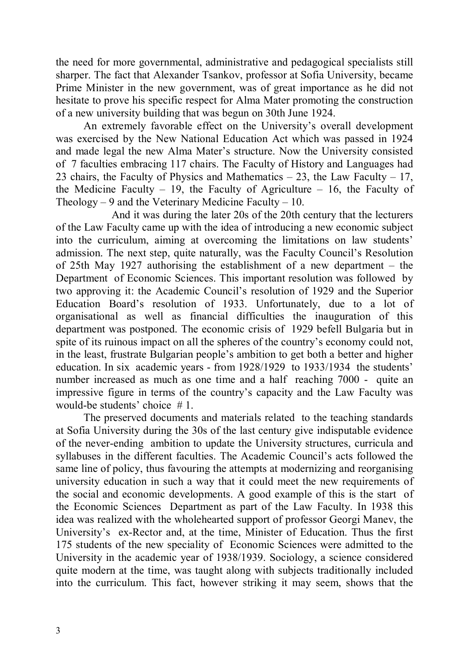the need for more governmental, administrative and pedagogical specialists still sharper. The fact that Alexander Tsankov, professor at Sofia University, became Prime Minister in the new government, was of great importance as he did not hesitate to prove his specific respect for Alma Mater promoting the construction of a new university building that was begun on 30th June 1924.

An extremely favorable effect on the University's overall development was exercised by the New National Education Act which was passed in 1924 and made legal the new Alma Mater's structure. Now the University consisted of 7 faculties embracing 117 chairs. The Faculty of History and Languages had 23 chairs, the Faculty of Physics and Mathematics  $-23$ , the Law Faculty  $-17$ , the Medicine Faculty – 19, the Faculty of Agriculture – 16, the Faculty of Theology  $-9$  and the Veterinary Medicine Faculty  $-10$ .

And it was during the later 20s of the 20th century that the lecturers of the Law Faculty came up with the idea of introducing a new economic subject into the curriculum, aiming at overcoming the limitations on law students' admission. The next step, quite naturally, was the Faculty Council's Resolution of 25th May 1927 authorising the establishment of a new department – the Department of Economic Sciences. This important resolution was followed by two approving it: the Academic Council's resolution of 1929 and the Superior Education Board's resolution of 1933. Unfortunately, due to a lot of organisational as well as financial difficulties the inauguration of this department was postponed. The economic crisis of 1929 befell Bulgaria but in spite of its ruinous impact on all the spheres of the country's economy could not, in the least, frustrate Bulgarian people's ambition to get both a better and higher education. In six academic years - from 1928/1929 to 1933/1934 the students' number increased as much as one time and a half reaching 7000 - quite an impressive figure in terms of the country's capacity and the Law Faculty was would-be students' choice # 1.

The preserved documents and materials related to the teaching standards at Sofia University during the 30s of the last century give indisputable evidence of the never-ending ambition to update the University structures, curricula and syllabuses in the different faculties. The Academic Council's acts followed the same line of policy, thus favouring the attempts at modernizing and reorganising university education in such a way that it could meet the new requirements of the social and economic developments. A good example of this is the start of the Economic Sciences Department as part of the Law Faculty. In 1938 this idea was realized with the wholehearted support of professor Georgi Manev, the University's ex-Rector and, at the time, Minister of Education. Thus the first 175 students of the new speciality of Economic Sciences were admitted to the University in the academic year of 1938/1939. Sociology, a science considered quite modern at the time, was taught along with subjects traditionally included into the curriculum. This fact, however striking it may seem, shows that the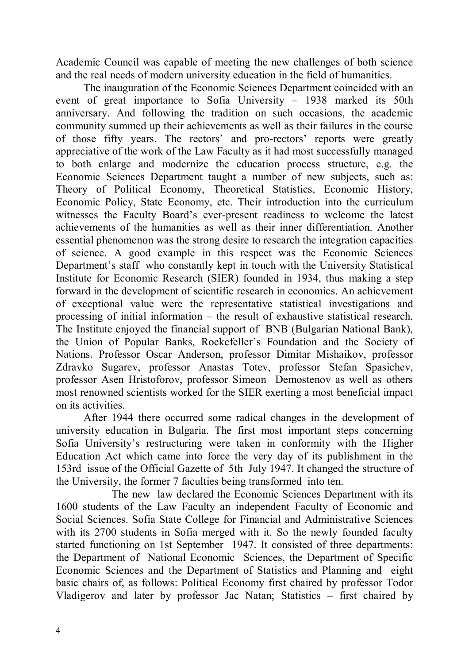Academic Council was capable of meeting the new challenges of both science and the real needs of modern university education in the field of humanities.

The inauguration of the Economic Sciences Department coincided with an event of great importance to Sofia University – 1938 marked its 50th anniversary. And following the tradition on such occasions, the academic community summed up their achievements as well as their failures in the course of those fifty years. The rectors' and pro-rectors' reports were greatly appreciative of the work of the Law Faculty as it had most successfully managed to both enlarge and modernize the education process structure, e.g. the Economic Sciences Department taught a number of new subjects, such as: Theory of Political Economy, Theoretical Statistics, Economic History, Economic Policy, State Economy, etc. Their introduction into the curriculum witnesses the Faculty Board's ever-present readiness to welcome the latest achievements of the humanities as well as their inner differentiation. Another essential phenomenon was the strong desire to research the integration capacities of science. A good example in this respect was the Economic Sciences Department's staff who constantly kept in touch with the University Statistical Institute for Economic Research (SIER) founded in 1934, thus making a step forward in the development of scientific research in economics. An achievement of exceptional value were the representative statistical investigations and processing of initial information – the result of exhaustive statistical research. The Institute enjoyed the financial support of BNB (Bulgarian National Bank), the Union of Popular Banks, Rockefeller's Foundation and the Society of Nations. Professor Oscar Anderson, professor Dimitar Mishaikov, professor Zdravko Sugarev, professor Anastas Totev, professor Stefan Spasichev, professor Asen Hristoforov, professor Simeon Demostenov as well as others most renowned scientists worked for the SIER exerting a most beneficial impact on its activities.

After 1944 there occurred some radical changes in the development of university education in Bulgaria. The first most important steps concerning Sofia University's restructuring were taken in conformity with the Higher Education Act which came into force the very day of its publishment in the 153rd issue of the Official Gazette of 5th July 1947. It changed the structure of the University, the former 7 faculties being transformed into ten.

The new law declared the Economic Sciences Department with its 1600 students of the Law Faculty an independent Faculty of Economic and Social Sciences. Sofia State College for Financial and Administrative Sciences with its 2700 students in Sofia merged with it. So the newly founded faculty started functioning on 1st September 1947. It consisted of three departments: the Department of National Economic Sciences, the Department of Specific Economic Sciences and the Department of Statistics and Planning and eight basic chairs of, as follows: Political Economy first chaired by professor Todor Vladigerov and later by professor Jac Natan; Statistics – first chaired by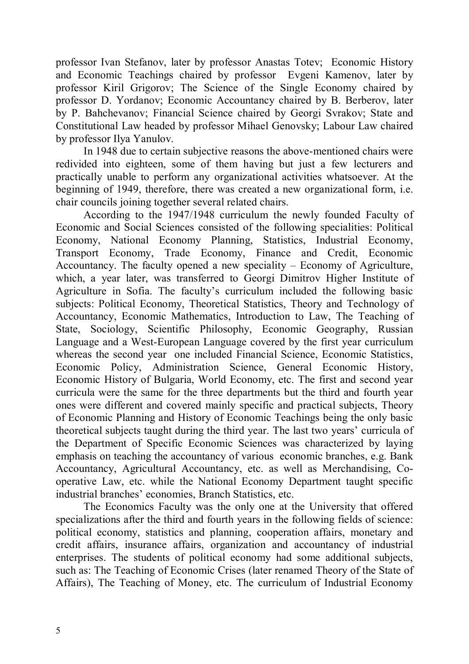professor Ivan Stefanov, later by professor Anastas Totev; Economic History and Economic Teachings chaired by professor Evgeni Kamenov, later by professor Kiril Grigorov; The Science of the Single Economy chaired by professor D. Yordanov; Economic Accountancy chaired by B. Berberov, later by P. Bahchevanov; Financial Science chaired by Georgi Svrakov; State and Constitutional Law headed by professor Mihael Genovsky; Labour Law chaired by professor Ilya Yanulov.

In 1948 due to certain subjective reasons the above-mentioned chairs were redivided into eighteen, some of them having but just a few lecturers and practically unable to perform any organizational activities whatsoever. At the beginning of 1949, therefore, there was created a new organizational form, i.e. chair councils joining together several related chairs.

According to the 1947/1948 curriculum the newly founded Faculty of Economic and Social Sciences consisted of the following specialities: Political Economy, National Economy Planning, Statistics, Industrial Economy, Transport Economy, Trade Economy, Finance and Credit, Economic Accountancy. The faculty opened a new speciality – Economy of Agriculture, which, a year later, was transferred to Georgi Dimitrov Higher Institute of Agriculture in Sofia. The faculty's curriculum included the following basic subjects: Political Economy, Theoretical Statistics, Theory and Technology of Accountancy, Economic Mathematics, Introduction to Law, The Teaching of State, Sociology, Scientific Philosophy, Economic Geography, Russian Language and a West-European Language covered by the first year curriculum whereas the second year one included Financial Science, Economic Statistics, Economic Policy, Administration Science, General Economic History, Economic History of Bulgaria, World Economy, etc. The first and second year curricula were the same for the three departments but the third and fourth year ones were different and covered mainly specific and practical subjects, Theory of Economic Planning and History of Economic Teachings being the only basic theoretical subjects taught during the third year. The last two years' curricula of the Department of Specific Economic Sciences was characterized by laying emphasis on teaching the accountancy of various economic branches, e.g. Bank Accountancy, Agricultural Accountancy, etc. as well as Merchandising, Cooperative Law, etc. while the National Economy Department taught specific industrial branches' economies, Branch Statistics, etc.

The Economics Faculty was the only one at the University that offered specializations after the third and fourth years in the following fields of science: political economy, statistics and planning, cooperation affairs, monetary and credit affairs, insurance affairs, organization and accountancy of industrial enterprises. The students of political economy had some additional subjects, such as: The Teaching of Economic Crises (later renamed Theory of the State of Affairs), The Teaching of Money, etc. The curriculum of Industrial Economy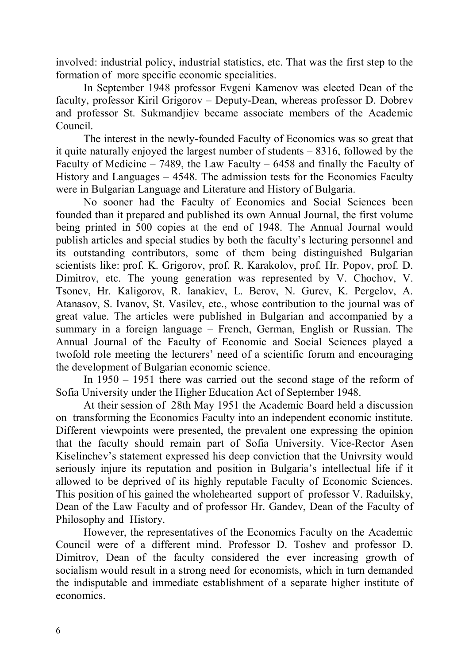involved: industrial policy, industrial statistics, etc. That was the first step to the formation of more specific economic specialities.

In September 1948 professor Evgeni Kamenov was elected Dean of the faculty, professor Kiril Grigorov – Deputy-Dean, whereas professor D. Dobrev and professor St. Sukmandjiev became associate members of the Academic Council.

The interest in the newly-founded Faculty of Economics was so great that it quite naturally enjoyed the largest number of students – 8316, followed by the Faculty of Medicine – 7489, the Law Faculty – 6458 and finally the Faculty of History and Languages – 4548. The admission tests for the Economics Faculty were in Bulgarian Language and Literature and History of Bulgaria.

No sooner had the Faculty of Economics and Social Sciences been founded than it prepared and published its own Annual Journal, the first volume being printed in 500 copies at the end of 1948. The Annual Journal would publish articles and special studies by both the faculty's lecturing personnel and its outstanding contributors, some of them being distinguished Bulgarian scientists like: prof. K. Grigorov, prof. R. Karakolov, prof. Hr. Popov, prof. D. Dimitrov, etc. The young generation was represented by V. Chochov, V. Tsonev, Hr. Kaligorov, R. Ianakiev, L. Berov, N. Gurev, K. Pergelov, A. Atanasov, S. Ivanov, St. Vasilev, etc., whose contribution to the journal was of great value. The articles were published in Bulgarian and accompanied by a summary in a foreign language – French, German, English or Russian. The Annual Journal of the Faculty of Economic and Social Sciences played a twofold role meeting the lecturers' need of a scientific forum and encouraging the development of Bulgarian economic science.

In 1950 – 1951 there was carried out the second stage of the reform of Sofia University under the Higher Education Act of September 1948.

At their session of 28th May 1951 the Academic Board held a discussion on transforming the Economics Faculty into an independent economic institute. Different viewpoints were presented, the prevalent one expressing the opinion that the faculty should remain part of Sofia University. Vice-Rector Asen Kiselinchev's statement expressed his deep conviction that the Univrsity would seriously injure its reputation and position in Bulgaria's intellectual life if it allowed to be deprived of its highly reputable Faculty of Economic Sciences. This position of his gained the wholehearted support of professor V. Raduilsky, Dean of the Law Faculty and of professor Hr. Gandev, Dean of the Faculty of Philosophy and History.

However, the representatives of the Economics Faculty on the Academic Council were of a different mind. Professor D. Toshev and professor D. Dimitrov, Dean of the faculty considered the ever increasing growth of socialism would result in a strong need for economists, which in turn demanded the indisputable and immediate establishment of a separate higher institute of economics.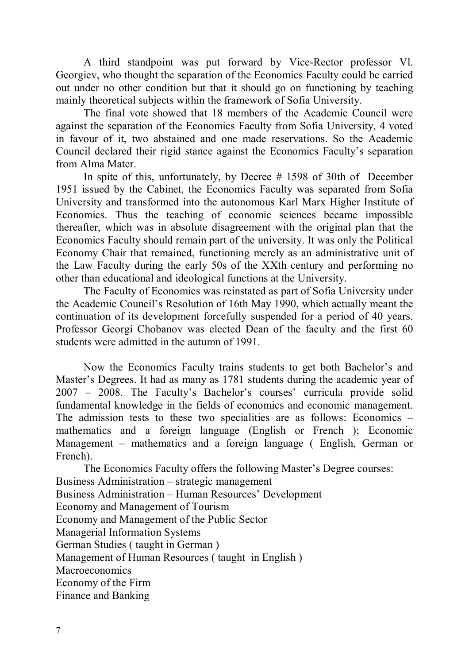A third standpoint was put forward by Vice-Rector professor Vl. Georgiev, who thought the separation of the Economics Faculty could be carried out under no other condition but that it should go on functioning by teaching mainly theoretical subjects within the framework of Sofia University.

The final vote showed that 18 members of the Academic Council were against the separation of the Economics Faculty from Sofia University, 4 voted in favour of it, two abstained and one made reservations. So the Academic Council declared their rigid stance against the Economics Faculty's separation from Alma Mater.

In spite of this, unfortunately, by Decree # 1598 of 30th of December 1951 issued by the Cabinet, the Economics Faculty was separated from Sofia University and transformed into the autonomous Karl Marx Higher Institute of Economics. Thus the teaching of economic sciences became impossible thereafter, which was in absolute disagreement with the original plan that the Economics Faculty should remain part of the university. It was only the Political Economy Chair that remained, functioning merely as an administrative unit of the Law Faculty during the early 50s of the XXth century and performing no other than educational and ideological functions at the University.

The Faculty of Economics was reinstated as part of Sofia University under the Academic Council's Resolution of 16th May 1990, which actually meant the continuation of its development forcefully suspended for a period of 40 years. Professor Georgi Chobanov was elected Dean of the faculty and the first 60 students were admitted in the autumn of 1991.

Now the Economics Faculty trains students to get both Bachelor's and Master's Degrees. It had as many as 1781 students during the academic year of 2007 – 2008. The Faculty's Bachelor's courses' curricula provide solid fundamental knowledge in the fields of economics and economic management. The admission tests to these two specialities are as follows: Economics – mathematics and a foreign language (English or French ); Economic Management – mathematics and a foreign language ( English, German or French).

The Economics Faculty offers the following Master's Degree courses: Business Administration – strategic management Business Administration – Human Resources' Development Economy and Management of Tourism Economy and Management of the Public Sector Managerial Information Systems German Studies ( taught in German ) Management of Human Resources ( taught in English ) **Macroeconomics** Economy of the Firm Finance and Banking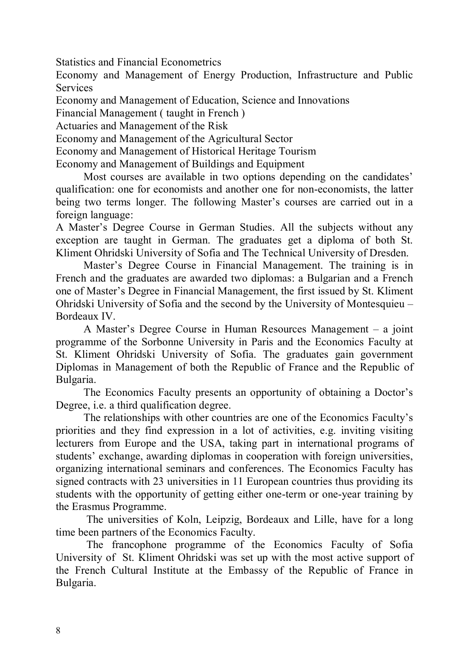Statistics and Financial Econometrics

Economy and Management of Energy Production, Infrastructure and Public **Services** 

Economy and Management of Education, Science and Innovations

Financial Management ( taught in French )

Actuaries and Management of the Risk

Economy and Management of the Agricultural Sector

Economy and Management of Historical Heritage Tourism

Economy and Management of Buildings and Equipment

Most courses are available in two options depending on the candidates' qualification: one for economists and another one for non-economists, the latter being two terms longer. The following Master's courses are carried out in a foreign language:

A Master's Degree Course in German Studies. All the subjects without any exception are taught in German. The graduates get a diploma of both St. Kliment Ohridski University of Sofia and The Technical University of Dresden.

Master's Degree Course in Financial Management. The training is in French and the graduates are awarded two diplomas: a Bulgarian and a French one of Master's Degree in Financial Management, the first issued by St. Kliment Ohridski University of Sofia and the second by the University of Montesquieu – Bordeaux IV.

A Master's Degree Course in Human Resources Management – a joint programme of the Sorbonne University in Paris and the Economics Faculty at St. Kliment Ohridski University of Sofia. The graduates gain government Diplomas in Management of both the Republic of France and the Republic of Bulgaria.

The Economics Faculty presents an opportunity of obtaining a Doctor's Degree, i.e. a third qualification degree.

The relationships with other countries are one of the Economics Faculty's priorities and they find expression in a lot of activities, e.g. inviting visiting lecturers from Europe and the USA, taking part in international programs of students' exchange, awarding diplomas in cooperation with foreign universities, organizing international seminars and conferences. The Economics Faculty has signed contracts with 23 universities in 11 European countries thus providing its students with the opportunity of getting either one-term or one-year training by the Erasmus Programme.

The universities of Koln, Leipzig, Bordeaux and Lille, have for a long time been partners of the Economics Faculty.

The francophone programme of the Economics Faculty of Sofia University of St. Kliment Ohridski was set up with the most active support of the French Cultural Institute at the Embassy of the Republic of France in Bulgaria.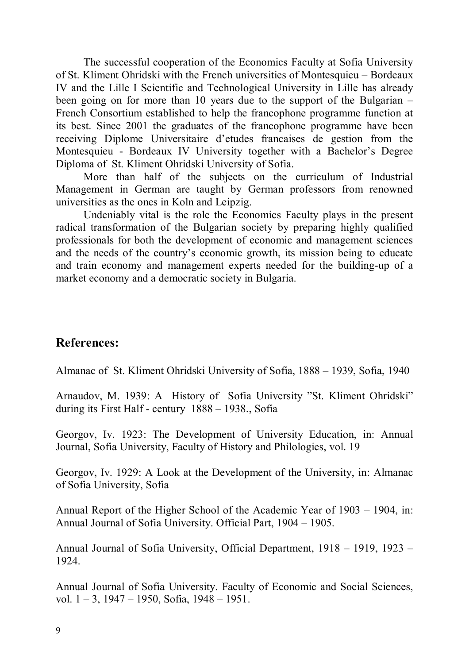The successful cooperation of the Economics Faculty at Sofia University of St. Kliment Ohridski with the French universities of Montesquieu – Bordeaux IV and the Lille I Scientific and Technological University in Lille has already been going on for more than 10 years due to the support of the Bulgarian – French Consortium established to help the francophone programme function at its best. Since 2001 the graduates of the francophone programme have been receiving Diplome Universitaire d'etudes francaises de gestion from the Montesquieu - Bordeaux IV University together with a Bachelor's Degree Diploma of St. Kliment Ohridski University of Sofia.

More than half of the subjects on the curriculum of Industrial Management in German are taught by German professors from renowned universities as the ones in Koln and Leipzig.

Undeniably vital is the role the Economics Faculty plays in the present radical transformation of the Bulgarian society by preparing highly qualified professionals for both the development of economic and management sciences and the needs of the country's economic growth, its mission being to educate and train economy and management experts needed for the building-up of a market economy and a democratic society in Bulgaria.

## **References:**

Almanac of St. Kliment Ohridski University of Sofia, 1888 – 1939, Sofia, 1940

Arnaudov, M. 1939: A History of Sofia University "St. Kliment Ohridski" during its First Half - century 1888 – 1938., Sofia

Georgov, Iv. 1923: The Development of University Education, in: Annual Journal, Sofia University, Faculty of History and Philologies, vol. 19

Georgov, Iv. 1929: A Look at the Development of the University, in: Almanac of Sofia University, Sofia

Annual Report of the Higher School of the Academic Year of 1903 – 1904, in: Annual Journal of Sofia University. Official Part, 1904 – 1905.

Annual Journal of Sofia University, Official Department, 1918 – 1919, 1923 – 1924.

Annual Journal of Sofia University. Faculty of Economic and Social Sciences, vol. 1 – 3, 1947 – 1950, Sofia, 1948 – 1951.